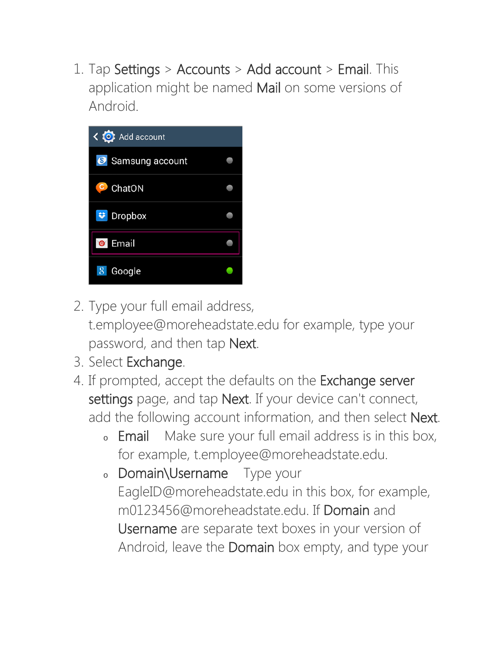1. Tap Settings > Accounts > Add account > Email. This application might be named Mail on some versions of Android.

| Samsung account                     |  |
|-------------------------------------|--|
| <b>C</b> ChatON                     |  |
| <b>Dropbox</b><br>$\leftrightarrow$ |  |
| <b>TEmail</b>                       |  |
| Google<br>8                         |  |

- 2. Type your full email address, t.employee@moreheadstate.edu for example, type your password, and then tap Next.
- 3. Select Exchange.
- 4. If prompted, accept the defaults on the Exchange server settings page, and tap Next. If your device can't connect, add the following account information, and then select Next.
	- o **Email** Make sure your full email address is in this box, for example, t.employee@moreheadstate.edu.
	- <sup>o</sup> Domain\Username Type your EagleID@moreheadstate.edu in this box, for example, m0123456@moreheadstate.edu. If Domain and Username are separate text boxes in your version of Android, leave the Domain box empty, and type your